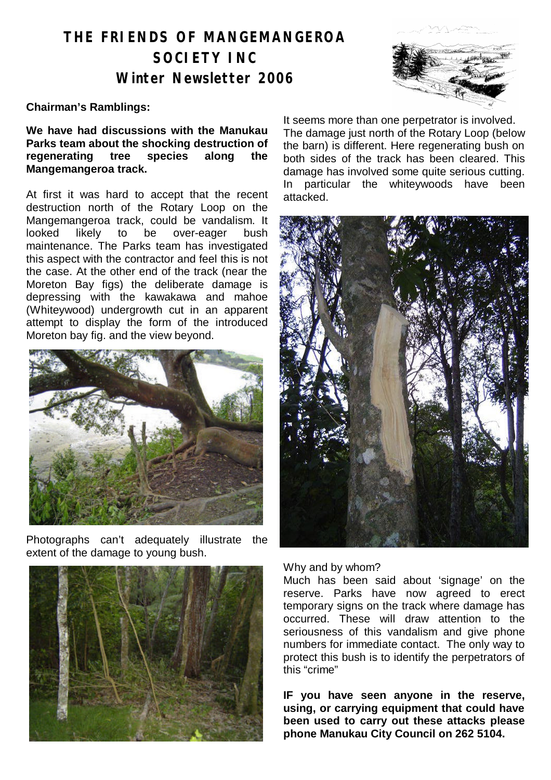# **THE FRIENDS OF MANGEMANGEROA SOCIETY INC Winter Newsletter 2006**

#### **Chairman's Ramblings:**

**We have had discussions with the Manukau Parks team about the shocking destruction of regenerating tree species along the Mangemangeroa track.** 

At first it was hard to accept that the recent destruction north of the Rotary Loop on the Mangemangeroa track, could be vandalism. It looked likely to be over-eager bush maintenance. The Parks team has investigated this aspect with the contractor and feel this is not the case. At the other end of the track (near the Moreton Bay figs) the deliberate damage is depressing with the kawakawa and mahoe (Whiteywood) undergrowth cut in an apparent attempt to display the form of the introduced Moreton bay fig. and the view beyond.



Photographs can't adequately illustrate the extent of the damage to young bush.



It seems more than one perpetrator is involved. The damage just north of the Rotary Loop (below the barn) is different. Here regenerating bush on both sides of the track has been cleared. This damage has involved some quite serious cutting. In particular the whiteywoods have been attacked.



Why and by whom?

Much has been said about 'signage' on the reserve. Parks have now agreed to erect temporary signs on the track where damage has occurred. These will draw attention to the seriousness of this vandalism and give phone numbers for immediate contact. The only way to protect this bush is to identify the perpetrators of this "crime"

**IF you have seen anyone in the reserve, using, or carrying equipment that could have been used to carry out these attacks please phone Manukau City Council on 262 5104.**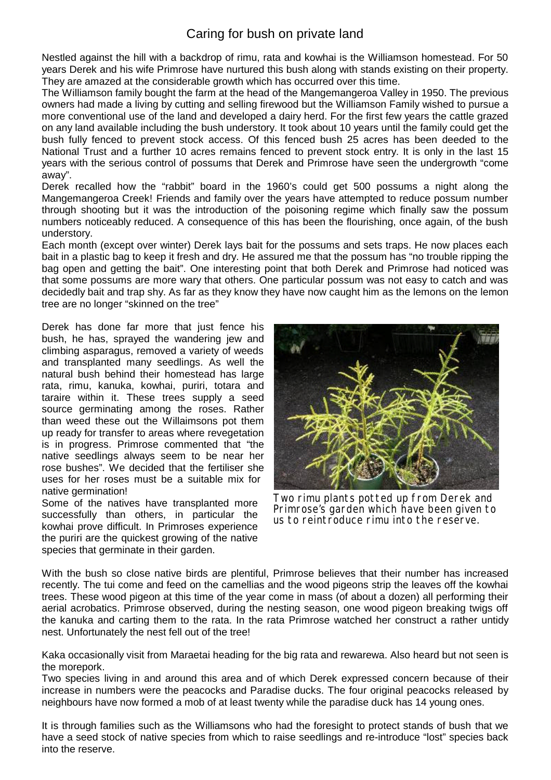### Caring for bush on private land

Nestled against the hill with a backdrop of rimu, rata and kowhai is the Williamson homestead. For 50 years Derek and his wife Primrose have nurtured this bush along with stands existing on their property. They are amazed at the considerable growth which has occurred over this time.

The Williamson family bought the farm at the head of the Mangemangeroa Valley in 1950. The previous owners had made a living by cutting and selling firewood but the Williamson Family wished to pursue a more conventional use of the land and developed a dairy herd. For the first few years the cattle grazed on any land available including the bush understory. It took about 10 years until the family could get the bush fully fenced to prevent stock access. Of this fenced bush 25 acres has been deeded to the National Trust and a further 10 acres remains fenced to prevent stock entry. It is only in the last 15 years with the serious control of possums that Derek and Primrose have seen the undergrowth "come away".

Derek recalled how the "rabbit" board in the 1960's could get 500 possums a night along the Mangemangeroa Creek! Friends and family over the years have attempted to reduce possum number through shooting but it was the introduction of the poisoning regime which finally saw the possum numbers noticeably reduced. A consequence of this has been the flourishing, once again, of the bush understory.

Each month (except over winter) Derek lays bait for the possums and sets traps. He now places each bait in a plastic bag to keep it fresh and dry. He assured me that the possum has "no trouble ripping the bag open and getting the bait". One interesting point that both Derek and Primrose had noticed was that some possums are more wary that others. One particular possum was not easy to catch and was decidedly bait and trap shy. As far as they know they have now caught him as the lemons on the lemon tree are no longer "skinned on the tree"

Derek has done far more that just fence his bush, he has, sprayed the wandering jew and climbing asparagus, removed a variety of weeds and transplanted many seedlings. As well the natural bush behind their homestead has large rata, rimu, kanuka, kowhai, puriri, totara and taraire within it. These trees supply a seed source germinating among the roses. Rather than weed these out the Willaimsons pot them up ready for transfer to areas where revegetation is in progress. Primrose commented that "the native seedlings always seem to be near her rose bushes". We decided that the fertiliser she uses for her roses must be a suitable mix for native germination!

Some of the natives have transplanted more successfully than others, in particular the kowhai prove difficult. In Primroses experience the puriri are the quickest growing of the native species that germinate in their garden.



Two rimu plants potted up from Derek and Primrose's garden which have been given to us to reintroduce rimu into the reserve.

With the bush so close native birds are plentiful, Primrose believes that their number has increased recently. The tui come and feed on the camellias and the wood pigeons strip the leaves off the kowhai trees. These wood pigeon at this time of the year come in mass (of about a dozen) all performing their aerial acrobatics. Primrose observed, during the nesting season, one wood pigeon breaking twigs off the kanuka and carting them to the rata. In the rata Primrose watched her construct a rather untidy nest. Unfortunately the nest fell out of the tree!

Kaka occasionally visit from Maraetai heading for the big rata and rewarewa. Also heard but not seen is the morepork.

Two species living in and around this area and of which Derek expressed concern because of their increase in numbers were the peacocks and Paradise ducks. The four original peacocks released by neighbours have now formed a mob of at least twenty while the paradise duck has 14 young ones.

It is through families such as the Williamsons who had the foresight to protect stands of bush that we have a seed stock of native species from which to raise seedlings and re-introduce "lost" species back into the reserve.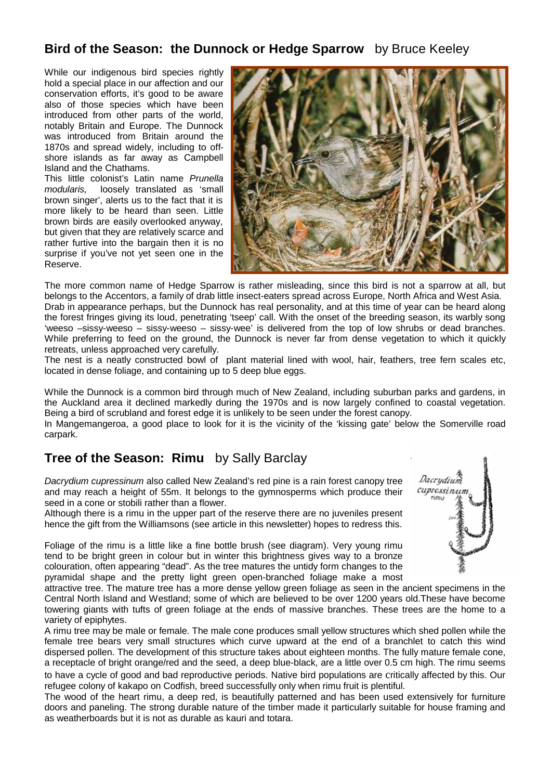### **Bird of the Season: the Dunnock or Hedge Sparrow** by Bruce Keeley

While our indigenous bird species rightly hold a special place in our affection and our conservation efforts, it's good to be aware also of those species which have been introduced from other parts of the world, notably Britain and Europe. The Dunnock was introduced from Britain around the 1870s and spread widely, including to offshore islands as far away as Campbell Island and the Chathams.

This little colonist's Latin name *Prunella modularis,* loosely translated as 'small brown singer', alerts us to the fact that it is more likely to be heard than seen. Little brown birds are easily overlooked anyway, but given that they are relatively scarce and rather furtive into the bargain then it is no surprise if you've not yet seen one in the Reserve.



The more common name of Hedge Sparrow is rather misleading, since this bird is not a sparrow at all, but belongs to the Accentors, a family of drab little insect-eaters spread across Europe, North Africa and West Asia. Drab in appearance perhaps, but the Dunnock has real personality, and at this time of year can be heard along the forest fringes giving its loud, penetrating 'tseep' call. With the onset of the breeding season, its warbly song 'weeso –sissy-weeso – sissy-weeso – sissy-wee' is delivered from the top of low shrubs or dead branches. While preferring to feed on the ground, the Dunnock is never far from dense vegetation to which it quickly retreats, unless approached very carefully.

The nest is a neatly constructed bowl of plant material lined with wool, hair, feathers, tree fern scales etc, located in dense foliage, and containing up to 5 deep blue eggs.

While the Dunnock is a common bird through much of New Zealand, including suburban parks and gardens, in the Auckland area it declined markedly during the 1970s and is now largely confined to coastal vegetation. Being a bird of scrubland and forest edge it is unlikely to be seen under the forest canopy.

In Mangemangeroa, a good place to look for it is the vicinity of the 'kissing gate' below the Somerville road carpark.

## **Tree of the Season: Rimu** by Sally Barclay

*Dacrydium cupressinum* also called New Zealand's red pine is a rain forest canopy tree and may reach a height of 55m. It belongs to the gymnosperms which produce their seed in a cone or stobili rather than a flower.

Although there is a rimu in the upper part of the reserve there are no juveniles present hence the gift from the Williamsons (see article in this newsletter) hopes to redress this.

Foliage of the rimu is a little like a fine bottle brush (see diagram). Very young rimu tend to be bright green in colour but in winter this brightness gives way to a bronze colouration, often appearing "dead". As the tree matures the untidy form changes to the pyramidal shape and the pretty light green open-branched foliage make a most

attractive tree. The mature tree has a more dense yellow green foliage as seen in the ancient specimens in the Central North Island and Westland; some of which are believed to be over 1200 years old.These have become towering giants with tufts of green foliage at the ends of massive branches. These trees are the home to a variety of epiphytes.

A rimu tree may be male or female. The male cone produces small yellow structures which shed pollen while the female tree bears very small structures which curve upward at the end of a branchlet to catch this wind dispersed pollen. The development of this structure takes about eighteen months. The fully mature female cone, a receptacle of bright orange/red and the seed, a deep blue-black, are a little over 0.5 cm high. The rimu seems to have a cycle of good and bad reproductive periods. Native bird populations are critically affected by this. Our refugee colony of kakapo on Codfish, breed successfully only when rimu fruit is plentiful.

The wood of the heart rimu, a deep red, is beautifully patterned and has been used extensively for furniture doors and paneling. The strong durable nature of the timber made it particularly suitable for house framing and as weatherboards but it is not as durable as kauri and totara.